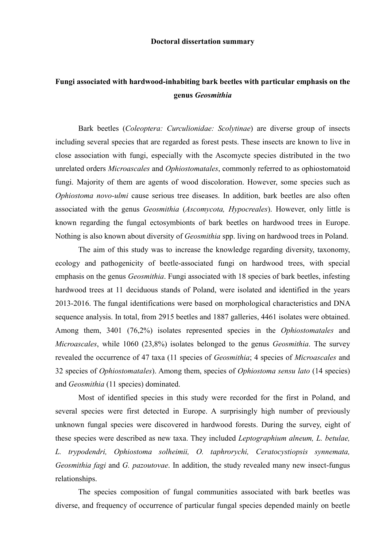## Fungi associated with hardwood-inhabiting bark beetles with particular emphasis on the genus Geosmithia

Bark beetles (Coleoptera: Curculionidae: Scolytinae) are diverse group of insects including several species that are regarded as forest pests. These insects are known to live in close association with fungi, especially with the Ascomycte species distributed in the two unrelated orders Microascales and Ophiostomatales, commonly referred to as ophiostomatoid fungi. Majority of them are agents of wood discoloration. However, some species such as Ophiostoma novo-ulmi cause serious tree diseases. In addition, bark beetles are also often associated with the genus Geosmithia (Ascomycota, Hypocreales). However, only little is known regarding the fungal ectosymbionts of bark beetles on hardwood trees in Europe. Nothing is also known about diversity of Geosmithia spp. living on hardwood trees in Poland.

The aim of this study was to increase the knowledge regarding diversity, taxonomy, ecology and pathogenicity of beetle-associated fungi on hardwood trees, with special emphasis on the genus *Geosmithia*. Fungi associated with 18 species of bark beetles, infesting hardwood trees at 11 deciduous stands of Poland, were isolated and identified in the years 2013-2016. The fungal identifications were based on morphological characteristics and DNA sequence analysis. In total, from 2915 beetles and 1887 galleries, 4461 isolates were obtained. Among them, 3401 (76,2%) isolates represented species in the Ophiostomatales and Microascales, while 1060 (23,8%) isolates belonged to the genus Geosmithia. The survey revealed the occurrence of 47 taxa (11 species of Geosmithia; 4 species of Microascales and 32 species of *Ophiostomatales*). Among them, species of *Ophiostoma sensu lato* (14 species) and Geosmithia (11 species) dominated.

Most of identified species in this study were recorded for the first in Poland, and several species were first detected in Europe. A surprisingly high number of previously unknown fungal species were discovered in hardwood forests. During the survey, eight of these species were described as new taxa. They included *Leptographium alneum*, *L. betulae*, L. trypodendri, Ophiostoma solheimii, O. taphrorychi, Ceratocystiopsis synnemata, Geosmithia fagi and G. pazoutovae. In addition, the study revealed many new insect-fungus relationships.

The species composition of fungal communities associated with bark beetles was diverse, and frequency of occurrence of particular fungal species depended mainly on beetle